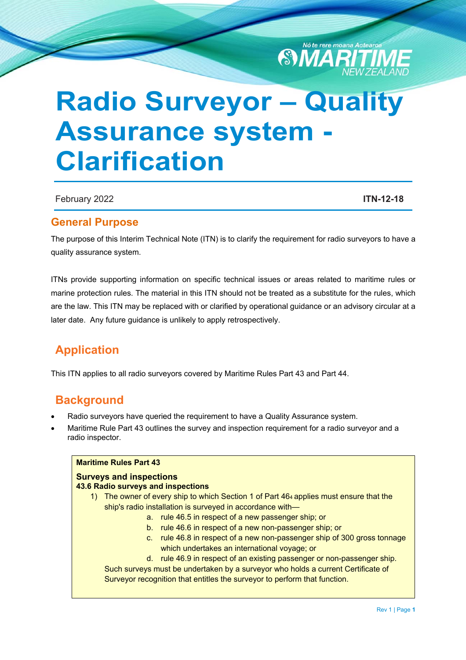

# **Radio Surveyor – Quality Assurance system Clarification**

February 2022 **ITN-12-18**

### **General Purpose**

The purpose of this Interim Technical Note (ITN) is to clarify the requirement for radio surveyors to have a quality assurance system.

ITNs provide supporting information on specific technical issues or areas related to maritime rules or marine protection rules. The material in this ITN should not be treated as a substitute for the rules, which are the law. This ITN may be replaced with or clarified by operational guidance or an advisory circular at a later date. Any future guidance is unlikely to apply retrospectively.

## **Application**

This ITN applies to all radio surveyors covered by Maritime Rules Part 43 and Part 44.

## **Background**

- Radio surveyors have queried the requirement to have a Quality Assurance system.
- Maritime Rule Part 43 outlines the survey and inspection requirement for a radio surveyor and a radio inspector.

#### **Maritime Rules Part 43 Surveys and inspections 43.6 Radio surveys and inspections**  1) The owner of every ship to which Section 1 of Part 464 applies must ensure that the ship's radio installation is surveyed in accordance with a. rule 46.5 in respect of a new passenger ship; or b. rule 46.6 in respect of a new non-passenger ship; or c. rule 46.8 in respect of a new non-passenger ship of 300 gross tonnage which undertakes an international voyage; or d. rule 46.9 in respect of an existing passenger or non-passenger ship. Such surveys must be undertaken by a surveyor who holds a current Certificate of Surveyor recognition that entitles the surveyor to perform that function.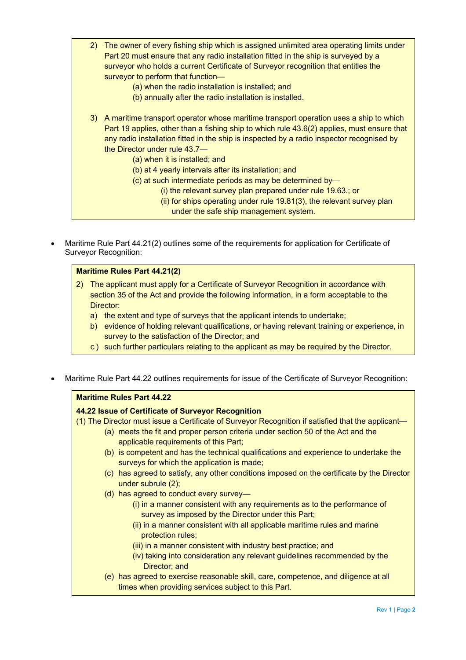- 2) The owner of every fishing ship which is assigned unlimited area operating limits under Part 20 must ensure that any radio installation fitted in the ship is surveyed by a surveyor who holds a current Certificate of Surveyor recognition that entitles the surveyor to perform that function—
	- (a) when the radio installation is installed; and
	- (b) annually after the radio installation is installed.
- 3) A maritime transport operator whose maritime transport operation uses a ship to which Part 19 applies, other than a fishing ship to which rule 43.6(2) applies, must ensure that any radio installation fitted in the ship is inspected by a radio inspector recognised by the Director under rule 43.7—
	- (a) when it is installed; and
	- (b) at 4 yearly intervals after its installation; and
	- (c) at such intermediate periods as may be determined by—
		- (i) the relevant survey plan prepared under rule 19.63.; or
		- (ii) for ships operating under rule 19.81(3), the relevant survey plan
			- under the safe ship management system.
- Maritime Rule Part 44.21(2) outlines some of the requirements for application for Certificate of Surveyor Recognition:

#### **Maritime Rules Part 44.21(2)**

- 2) The applicant must apply for a Certificate of Surveyor Recognition in accordance with section 35 of the Act and provide the following information, in a form acceptable to the Director:
	- a) the extent and type of surveys that the applicant intends to undertake;
	- b) evidence of holding relevant qualifications, or having relevant training or experience, in survey to the satisfaction of the Director; and
	- c) such further particulars relating to the applicant as may be required by the Director.
- Maritime Rule Part 44.22 outlines requirements for issue of the Certificate of Surveyor Recognition:

#### **Maritime Rules Part 44.22 44.22 Issue of Certificate of Surveyor Recognition**  (1) The Director must issue a Certificate of Surveyor Recognition if satisfied that the applicant— (a) meets the fit and proper person criteria under section 50 of the Act and the applicable requirements of this Part; (b) is competent and has the technical qualifications and experience to undertake the surveys for which the application is made; (c) has agreed to satisfy, any other conditions imposed on the certificate by the Director under subrule (2); (d) has agreed to conduct every survey— (i) in a manner consistent with any requirements as to the performance of survey as imposed by the Director under this Part; (ii) in a manner consistent with all applicable maritime rules and marine protection rules; (iii) in a manner consistent with industry best practice; and (iv) taking into consideration any relevant guidelines recommended by the Director: and (e) has agreed to exercise reasonable skill, care, competence, and diligence at all

times when providing services subject to this Part.